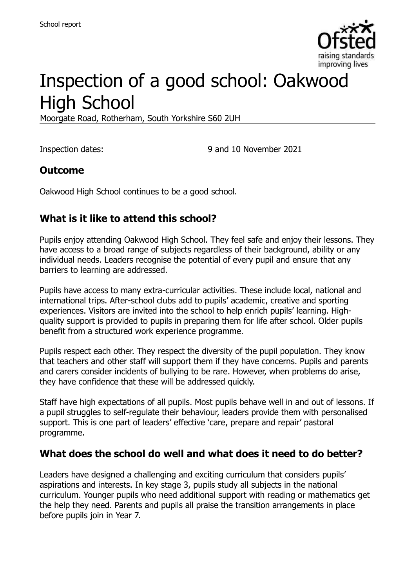

# Inspection of a good school: Oakwood High School

Moorgate Road, Rotherham, South Yorkshire S60 2UH

Inspection dates: 9 and 10 November 2021

## **Outcome**

Oakwood High School continues to be a good school.

## **What is it like to attend this school?**

Pupils enjoy attending Oakwood High School. They feel safe and enjoy their lessons. They have access to a broad range of subjects regardless of their background, ability or any individual needs. Leaders recognise the potential of every pupil and ensure that any barriers to learning are addressed.

Pupils have access to many extra-curricular activities. These include local, national and international trips. After-school clubs add to pupils' academic, creative and sporting experiences. Visitors are invited into the school to help enrich pupils' learning. Highquality support is provided to pupils in preparing them for life after school. Older pupils benefit from a structured work experience programme.

Pupils respect each other. They respect the diversity of the pupil population. They know that teachers and other staff will support them if they have concerns. Pupils and parents and carers consider incidents of bullying to be rare. However, when problems do arise, they have confidence that these will be addressed quickly.

Staff have high expectations of all pupils. Most pupils behave well in and out of lessons. If a pupil struggles to self-regulate their behaviour, leaders provide them with personalised support. This is one part of leaders' effective 'care, prepare and repair' pastoral programme.

#### **What does the school do well and what does it need to do better?**

Leaders have designed a challenging and exciting curriculum that considers pupils' aspirations and interests. In key stage 3, pupils study all subjects in the national curriculum. Younger pupils who need additional support with reading or mathematics get the help they need. Parents and pupils all praise the transition arrangements in place before pupils join in Year 7.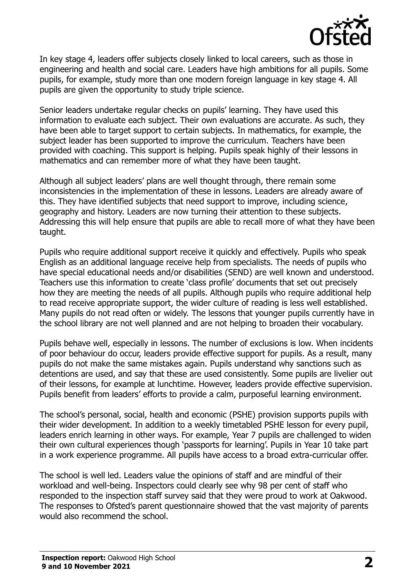

In key stage 4, leaders offer subjects closely linked to local careers, such as those in engineering and health and social care. Leaders have high ambitions for all pupils. Some pupils, for example, study more than one modern foreign language in key stage 4. All pupils are given the opportunity to study triple science.

Senior leaders undertake regular checks on pupils' learning. They have used this information to evaluate each subject. Their own evaluations are accurate. As such, they have been able to target support to certain subjects. In mathematics, for example, the subject leader has been supported to improve the curriculum. Teachers have been provided with coaching. This support is helping. Pupils speak highly of their lessons in mathematics and can remember more of what they have been taught.

Although all subject leaders' plans are well thought through, there remain some inconsistencies in the implementation of these in lessons. Leaders are already aware of this. They have identified subjects that need support to improve, including science, geography and history. Leaders are now turning their attention to these subjects. Addressing this will help ensure that pupils are able to recall more of what they have been taught.

Pupils who require additional support receive it quickly and effectively. Pupils who speak English as an additional language receive help from specialists. The needs of pupils who have special educational needs and/or disabilities (SEND) are well known and understood. Teachers use this information to create 'class profile' documents that set out precisely how they are meeting the needs of all pupils. Although pupils who require additional help to read receive appropriate support, the wider culture of reading is less well established. Many pupils do not read often or widely. The lessons that younger pupils currently have in the school library are not well planned and are not helping to broaden their vocabulary.

Pupils behave well, especially in lessons. The number of exclusions is low. When incidents of poor behaviour do occur, leaders provide effective support for pupils. As a result, many pupils do not make the same mistakes again. Pupils understand why sanctions such as detentions are used, and say that these are used consistently. Some pupils are livelier out of their lessons, for example at lunchtime. However, leaders provide effective supervision. Pupils benefit from leaders' efforts to provide a calm, purposeful learning environment.

The school's personal, social, health and economic (PSHE) provision supports pupils with their wider development. In addition to a weekly timetabled PSHE lesson for every pupil, leaders enrich learning in other ways. For example, Year 7 pupils are challenged to widen their own cultural experiences though 'passports for learning'. Pupils in Year 10 take part in a work experience programme. All pupils have access to a broad extra-curricular offer.

The school is well led. Leaders value the opinions of staff and are mindful of their workload and well-being. Inspectors could clearly see why 98 per cent of staff who responded to the inspection staff survey said that they were proud to work at Oakwood. The responses to Ofsted's parent questionnaire showed that the vast majority of parents would also recommend the school.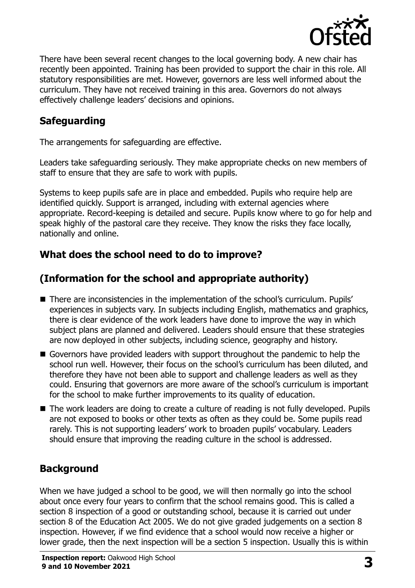

There have been several recent changes to the local governing body. A new chair has recently been appointed. Training has been provided to support the chair in this role. All statutory responsibilities are met. However, governors are less well informed about the curriculum. They have not received training in this area. Governors do not always effectively challenge leaders' decisions and opinions.

## **Safeguarding**

The arrangements for safeguarding are effective.

Leaders take safeguarding seriously. They make appropriate checks on new members of staff to ensure that they are safe to work with pupils.

Systems to keep pupils safe are in place and embedded. Pupils who require help are identified quickly. Support is arranged, including with external agencies where appropriate. Record-keeping is detailed and secure. Pupils know where to go for help and speak highly of the pastoral care they receive. They know the risks they face locally, nationally and online.

## **What does the school need to do to improve?**

## **(Information for the school and appropriate authority)**

- There are inconsistencies in the implementation of the school's curriculum. Pupils' experiences in subjects vary. In subjects including English, mathematics and graphics, there is clear evidence of the work leaders have done to improve the way in which subject plans are planned and delivered. Leaders should ensure that these strategies are now deployed in other subjects, including science, geography and history.
- Governors have provided leaders with support throughout the pandemic to help the school run well. However, their focus on the school's curriculum has been diluted, and therefore they have not been able to support and challenge leaders as well as they could. Ensuring that governors are more aware of the school's curriculum is important for the school to make further improvements to its quality of education.
- The work leaders are doing to create a culture of reading is not fully developed. Pupils are not exposed to books or other texts as often as they could be. Some pupils read rarely. This is not supporting leaders' work to broaden pupils' vocabulary. Leaders should ensure that improving the reading culture in the school is addressed.

## **Background**

When we have judged a school to be good, we will then normally go into the school about once every four years to confirm that the school remains good. This is called a section 8 inspection of a good or outstanding school, because it is carried out under section 8 of the Education Act 2005. We do not give graded judgements on a section 8 inspection. However, if we find evidence that a school would now receive a higher or lower grade, then the next inspection will be a section 5 inspection. Usually this is within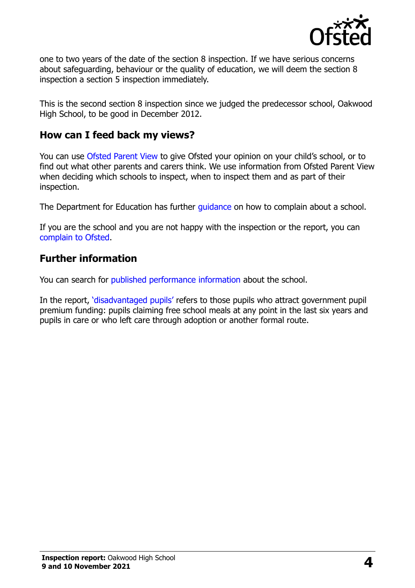

one to two years of the date of the section 8 inspection. If we have serious concerns about safeguarding, behaviour or the quality of education, we will deem the section 8 inspection a section 5 inspection immediately.

This is the second section 8 inspection since we judged the predecessor school, Oakwood High School, to be good in December 2012.

#### **How can I feed back my views?**

You can use [Ofsted Parent View](https://parentview.ofsted.gov.uk/) to give Ofsted your opinion on your child's school, or to find out what other parents and carers think. We use information from Ofsted Parent View when deciding which schools to inspect, when to inspect them and as part of their inspection.

The Department for Education has further quidance on how to complain about a school.

If you are the school and you are not happy with the inspection or the report, you can [complain to Ofsted.](https://www.gov.uk/complain-ofsted-report)

## **Further information**

You can search for [published performance information](http://www.compare-school-performance.service.gov.uk/) about the school.

In the report, '[disadvantaged pupils](http://www.gov.uk/guidance/pupil-premium-information-for-schools-and-alternative-provision-settings)' refers to those pupils who attract government pupil premium funding: pupils claiming free school meals at any point in the last six years and pupils in care or who left care through adoption or another formal route.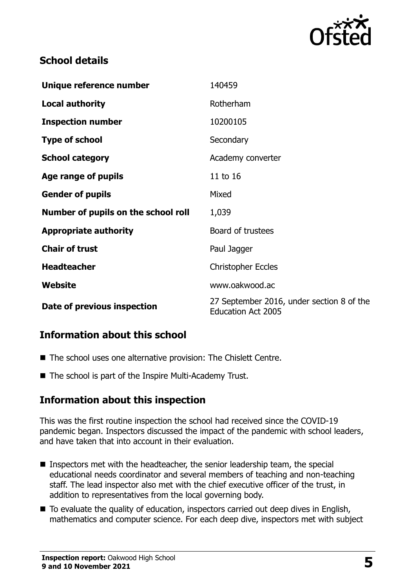

## **School details**

| Unique reference number             | 140459                                                                 |
|-------------------------------------|------------------------------------------------------------------------|
| <b>Local authority</b>              | Rotherham                                                              |
| <b>Inspection number</b>            | 10200105                                                               |
| <b>Type of school</b>               | Secondary                                                              |
| <b>School category</b>              | Academy converter                                                      |
| Age range of pupils                 | 11 to 16                                                               |
| <b>Gender of pupils</b>             | Mixed                                                                  |
| Number of pupils on the school roll | 1,039                                                                  |
| <b>Appropriate authority</b>        | Board of trustees                                                      |
| <b>Chair of trust</b>               | Paul Jagger                                                            |
| <b>Headteacher</b>                  | <b>Christopher Eccles</b>                                              |
| Website                             | www.oakwood.ac                                                         |
| Date of previous inspection         | 27 September 2016, under section 8 of the<br><b>Education Act 2005</b> |

## **Information about this school**

- The school uses one alternative provision: The Chislett Centre.
- The school is part of the Inspire Multi-Academy Trust.

## **Information about this inspection**

This was the first routine inspection the school had received since the COVID-19 pandemic began. Inspectors discussed the impact of the pandemic with school leaders, and have taken that into account in their evaluation.

- Inspectors met with the headteacher, the senior leadership team, the special educational needs coordinator and several members of teaching and non-teaching staff. The lead inspector also met with the chief executive officer of the trust, in addition to representatives from the local governing body.
- To evaluate the quality of education, inspectors carried out deep dives in English, mathematics and computer science. For each deep dive, inspectors met with subject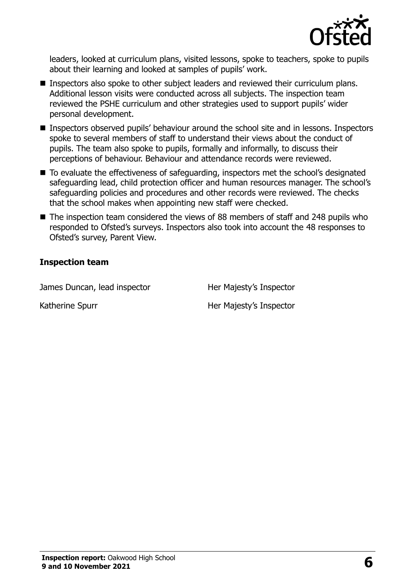

leaders, looked at curriculum plans, visited lessons, spoke to teachers, spoke to pupils about their learning and looked at samples of pupils' work.

- **Inspectors also spoke to other subject leaders and reviewed their curriculum plans.** Additional lesson visits were conducted across all subjects. The inspection team reviewed the PSHE curriculum and other strategies used to support pupils' wider personal development.
- **Inspectors observed pupils' behaviour around the school site and in lessons. Inspectors** spoke to several members of staff to understand their views about the conduct of pupils. The team also spoke to pupils, formally and informally, to discuss their perceptions of behaviour. Behaviour and attendance records were reviewed.
- To evaluate the effectiveness of safeguarding, inspectors met the school's designated safeguarding lead, child protection officer and human resources manager. The school's safeguarding policies and procedures and other records were reviewed. The checks that the school makes when appointing new staff were checked.
- The inspection team considered the views of 88 members of staff and 248 pupils who responded to Ofsted's surveys. Inspectors also took into account the 48 responses to Ofsted's survey, Parent View.

#### **Inspection team**

James Duncan, lead inspector **Her Majesty's Inspector** 

Katherine Spurr **Her Majesty's Inspector**